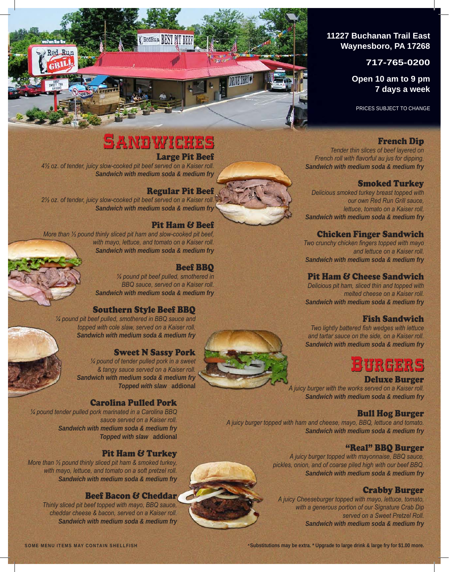## **11227 Buchanan Trail East Waynesboro, PA 17268**

## **717-765-0200**

**Open 10 am to 9 pm 7 days a week**

PRICES SUBJECT TO CHANGE

## French Dip

*Tender thin slices of beef layered on French roll with flavorful au jus for dipping. Sandwich with medium soda & medium fry* 

## Smoked Turkey

*Delicious smoked turkey breast topped with our own Red Run Grill sauce, lettuce, tomato on a Kaiser roll. Sandwich with medium soda & medium fry* 

## Chicken Finger Sandwich

*Two crunchy chicken fingers topped with mayo and lettuce on a Kaiser roll. Sandwich with medium soda & medium fry* 

## Pit Ham & Cheese Sandwich

*Delicious pit ham, sliced thin and topped with melted cheese on a Kaiser roll. Sandwich with medium soda & medium fry* 

## Fish Sandwich

*Two lightly battered fish wedges with lettuce and tartar sauce on the side, on a Kaiser roll. Sandwich with medium soda & medium fry* 

## **URGERS**

### Deluxe Burger

*A juicy burger with the works served on a Kaiser roll. Sandwich with medium soda & medium fry* 

### Bull Hog Burger

*A juicy burger topped with ham and cheese, mayo, BBQ, lettuce and tomato. Sandwich with medium soda & medium fry* 

## "Real" BBQ Burger

*A juicy burger topped with mayonnaise, BBQ sauce, pickles, onion, and of coarse piled high with our beef BBQ. Sandwich with medium soda & medium fry* 

## Crabby Burger

*A juicy Cheeseburger topped with mayo, lettuce, tomato, with a generous portion of our Signature Crab Dip served on a Sweet Pretzel Roll. Sandwich with medium soda & medium fry* 

# **SANDWICHES**

C RedRun BEST BIT BEEF

## Large Pit Beef

*4½ oz. of tender, juicy slow-cooked pit beef served on a Kaiser roll. Sandwich with medium soda & medium fry* 

## Regular Pit Beef

*2½ oz. of tender, juicy slow-cooked pit beef served on a Kaiser roll. Sandwich with medium soda & medium fry* 

## Pit Ham & Beef

*More than ⅓ pound thinly sliced pit ham and slow-cooked pit beef, with mayo, lettuce, and tomato on a Kaiser roll. Sandwich with medium soda & medium fry* 

## Beef BBQ

*¼ pound pit beef pulled, smothered in BBQ sauce, served on a Kaiser roll. Sandwich with medium soda & medium fry* 

### Southern Style Beef BBQ

*¼ pound pit beef pulled, smothered in BBQ sauce and topped with cole slaw, served on a Kaiser roll. Sandwich with medium soda & medium fry* 

## Sweet N Sassy Pork

*¼ pound of tender pulled pork in a sweet & tangy sauce served on a Kaiser roll. Sandwich with medium soda & medium fry Topped with slaw* **addional**

### Carolina Pulled Pork

*¼ pound tender pulled pork marinated in a Carolina BBQ sauce served on a Kaiser roll. Sandwich with medium soda & medium fry Topped with slaw* **addional**

## Pit Ham & Turkey

*More than ⅓ pound thinly sliced pit ham & smoked turkey, with mayo, lettuce, and tomato on a soft pretzel roll. Sandwich with medium soda & medium fry* 

### Beef Bacon & Cheddar

*Thinly sliced pit beef topped with mayo, BBQ sauce, cheddar cheese & bacon, served on a Kaiser roll. Sandwich with medium soda & medium fry*